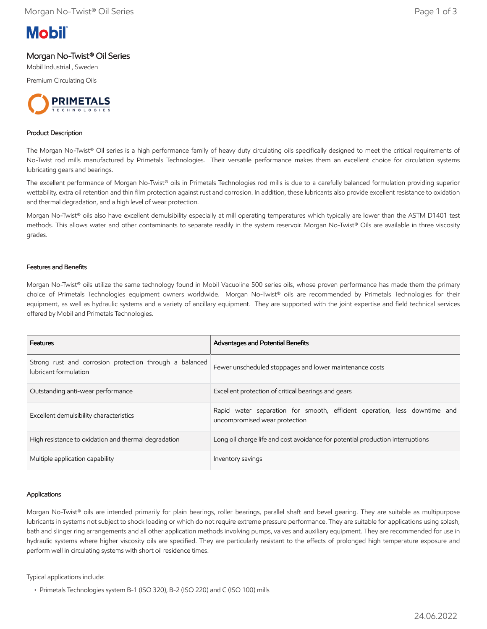

## Morgan No-Twist® Oil Series

Mobil Industrial , Sweden

Premium Circulating Oils



### Product Description

The Morgan No-Twist® Oil series is a high performance family of heavy duty circulating oils specifically designed to meet the critical requirements of No-Twist rod mills manufactured by Primetals Technologies. Their versatile performance makes them an excellent choice for circulation systems lubricating gears and bearings.

The excellent performance of Morgan No-Twist® oils in Primetals Technologies rod mills is due to a carefully balanced formulation providing superior wettability, extra oil retention and thin film protection against rust and corrosion. In addition, these lubricants also provide excellent resistance to oxidation and thermal degradation, and a high level of wear protection.

Morgan No-Twist® oils also have excellent demulsibility especially at mill operating temperatures which typically are lower than the ASTM D1401 test methods. This allows water and other contaminants to separate readily in the system reservoir. Morgan No-Twist® Oils are available in three viscosity grades.

### Features and Benefits

Morgan No-Twist® oils utilize the same technology found in Mobil Vacuoline 500 series oils, whose proven performance has made them the primary choice of Primetals Technologies equipment owners worldwide. Morgan No-Twist® oils are recommended by Primetals Technologies for their equipment, as well as hydraulic systems and a variety of ancillary equipment. They are supported with the joint expertise and field technical services offered by Mobil and Primetals Technologies.

| Features                                                                         | Advantages and Potential Benefits                                                                          |
|----------------------------------------------------------------------------------|------------------------------------------------------------------------------------------------------------|
| Strong rust and corrosion protection through a balanced<br>lubricant formulation | Fewer unscheduled stoppages and lower maintenance costs                                                    |
| Outstanding anti-wear performance                                                | Excellent protection of critical bearings and gears                                                        |
| Excellent demulsibility characteristics                                          | Rapid water separation for smooth, efficient operation, less downtime and<br>uncompromised wear protection |
| High resistance to oxidation and thermal degradation                             | Long oil charge life and cost avoidance for potential production interruptions                             |
| Multiple application capability                                                  | Inventory savings                                                                                          |

### Applications

Morgan No-Twist® oils are intended primarily for plain bearings, roller bearings, parallel shaft and bevel gearing. They are suitable as multipurpose lubricants in systems not subject to shock loading or which do not require extreme pressure performance. They are suitable for applications using splash, bath and slinger ring arrangements and all other application methods involving pumps, valves and auxiliary equipment. They are recommended for use in hydraulic systems where higher viscosity oils are specified. They are particularly resistant to the effects of prolonged high temperature exposure and perform well in circulating systems with short oil residence times.

Typical applications include:

 <sup>•</sup> Primetals Technologies system B-1 (ISO 320), B-2 (ISO 220) and C (ISO 100) mills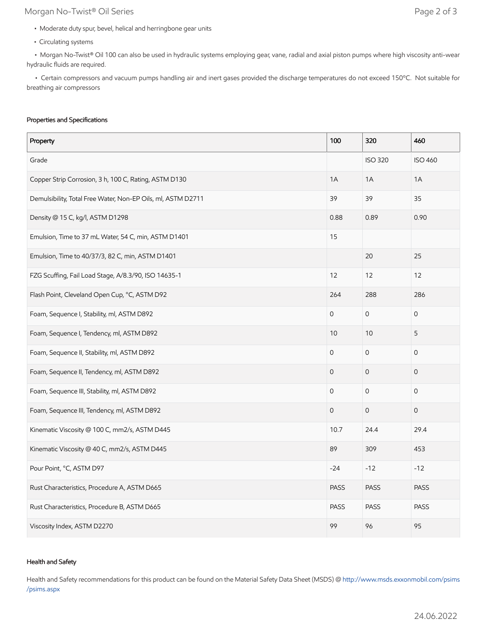# Morgan No-Twist® Oil Series **Page 2 of 3**

- Moderate duty spur, bevel, helical and herringbone gear units
- Circulating systems

 • Morgan No-Twist® Oil 100 can also be used in hydraulic systems employing gear, vane, radial and axial piston pumps where high viscosity anti-wear hydraulic fluids are required.

 • Certain compressors and vacuum pumps handling air and inert gases provided the discharge temperatures do not exceed 150ºC. Not suitable for breathing air compressors

### Properties and Specifications

| Property                                                     | 100                 | 320                 | 460                 |
|--------------------------------------------------------------|---------------------|---------------------|---------------------|
| Grade                                                        |                     | <b>ISO 320</b>      | <b>ISO 460</b>      |
| Copper Strip Corrosion, 3 h, 100 C, Rating, ASTM D130        | 1A                  | 1A                  | 1A                  |
| Demulsibility, Total Free Water, Non-EP Oils, ml, ASTM D2711 | 39                  | 39                  | 35                  |
| Density @ 15 C, kg/l, ASTM D1298                             | 0.88                | 0.89                | 0.90                |
| Emulsion, Time to 37 mL Water, 54 C, min, ASTM D1401         | 15                  |                     |                     |
| Emulsion, Time to 40/37/3, 82 C, min, ASTM D1401             |                     | 20                  | 25                  |
| FZG Scuffing, Fail Load Stage, A/8.3/90, ISO 14635-1         | 12                  | 12                  | 12                  |
| Flash Point, Cleveland Open Cup, °C, ASTM D92                | 264                 | 288                 | 286                 |
| Foam, Sequence I, Stability, ml, ASTM D892                   | $\mathbf 0$         | $\mathsf{O}\xspace$ | $\mathbf 0$         |
| Foam, Sequence I, Tendency, ml, ASTM D892                    | 10                  | 10                  | 5                   |
| Foam, Sequence II, Stability, ml, ASTM D892                  | $\mathsf{O}\xspace$ | $\mathsf{O}\xspace$ | 0                   |
| Foam, Sequence II, Tendency, ml, ASTM D892                   | $\mathbf 0$         | $\mathbf 0$         | $\mathsf{O}\xspace$ |
| Foam, Sequence III, Stability, ml, ASTM D892                 | $\mathsf{O}\xspace$ | $\mathsf{O}\xspace$ | $\mathbf 0$         |
| Foam, Sequence III, Tendency, ml, ASTM D892                  | $\mathbf 0$         | $\mathsf{O}\xspace$ | $\mathbf 0$         |
| Kinematic Viscosity @ 100 C, mm2/s, ASTM D445                | 10.7                | 24.4                | 29.4                |
| Kinematic Viscosity @ 40 C, mm2/s, ASTM D445                 | 89                  | 309                 | 453                 |
| Pour Point, °C, ASTM D97                                     | $-24$               | $-12$               | $-12$               |
| Rust Characteristics, Procedure A, ASTM D665                 | <b>PASS</b>         | <b>PASS</b>         | <b>PASS</b>         |
| Rust Characteristics, Procedure B, ASTM D665                 | <b>PASS</b>         | <b>PASS</b>         | <b>PASS</b>         |
| Viscosity Index, ASTM D2270                                  | 99                  | 96                  | 95                  |

### Health and Safety

Health and Safety recommendations for this product can be found on the Material Safety Data Sheet (MSDS) @ [http://www.msds.exxonmobil.com/psims](http://www.msds.exxonmobil.com/psims/psims.aspx) /psims.aspx